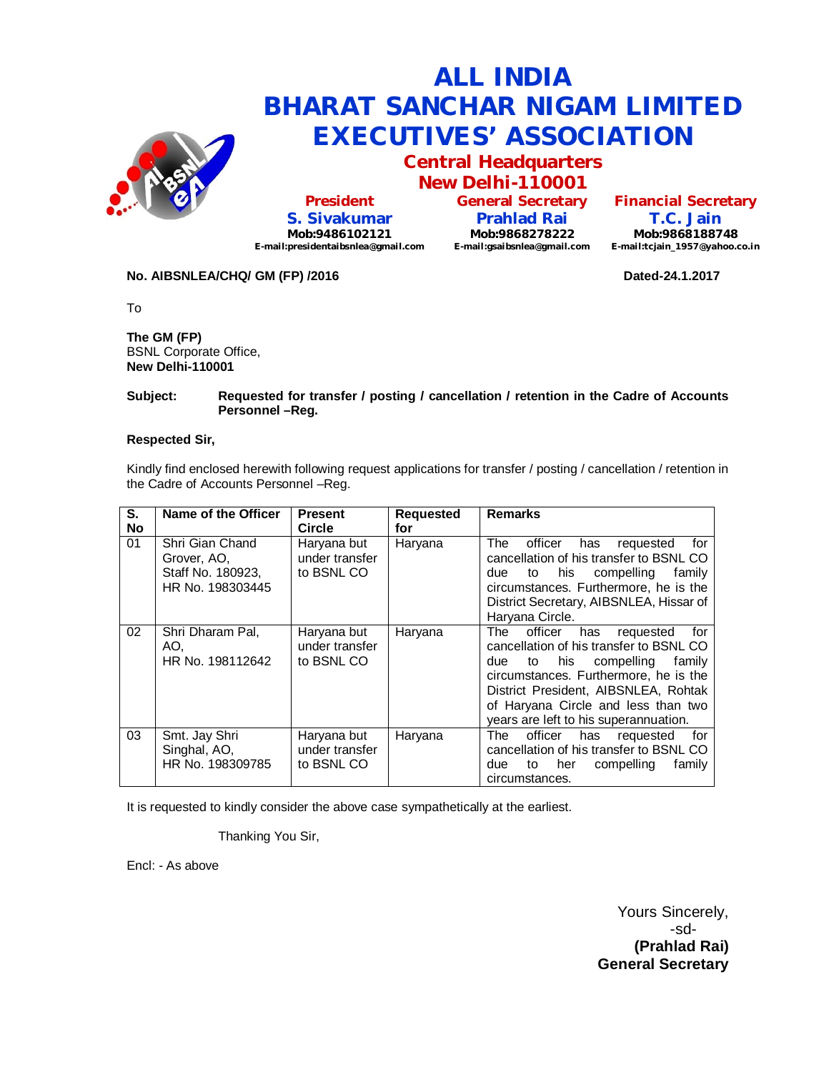

# **ALL INDIA BHARAT SANCHAR NIGAM LIMITED EXECUTIVES' ASSOCIATION Central Headquarters**

**President S. Sivakumar Mob:9486102121 E-mail:presidentaibsnlea@gmail.com**

**New Delhi-110001 General Secretary Prahlad Rai Mob:9868278222 E-mail:gsaibsnlea@gmail.com**

**Financial Secretary T.C. Jain Mob:9868188748 E-mail:tcjain\_1957@yahoo.co.in**

#### **No. AIBSNLEA/CHQ/ GM (FP) /2016 Dated-24.1.2017**

To

**The GM (FP)** BSNL Corporate Office, **New Delhi-110001** 

#### **Subject: Requested for transfer / posting / cancellation / retention in the Cadre of Accounts Personnel –Reg.**

#### **Respected Sir,**

Kindly find enclosed herewith following request applications for transfer / posting / cancellation / retention in the Cadre of Accounts Personnel –Reg.

| S.<br><b>No</b> | Name of the Officer                                                     | <b>Present</b><br>Circle                    | <b>Requested</b><br>for | <b>Remarks</b>                                                                                                                                                                                                                                                                                    |
|-----------------|-------------------------------------------------------------------------|---------------------------------------------|-------------------------|---------------------------------------------------------------------------------------------------------------------------------------------------------------------------------------------------------------------------------------------------------------------------------------------------|
| 01              | Shri Gian Chand<br>Grover, AO,<br>Staff No. 180923,<br>HR No. 198303445 | Haryana but<br>under transfer<br>to BSNL CO | Haryana                 | officer<br>for<br>The<br>has<br>requested<br>cancellation of his transfer to BSNL CO<br>his<br>compelling<br>family<br>due<br>to<br>circumstances. Furthermore, he is the<br>District Secretary, AIBSNLEA, Hissar of<br>Haryana Circle.                                                           |
| 02              | Shri Dharam Pal,<br>AO.<br>HR No. 198112642                             | Haryana but<br>under transfer<br>to BSNL CO | Haryana                 | officer<br>The<br>has<br>requested<br>for<br>cancellation of his transfer to BSNL CO<br>his<br>compelling<br>family<br>due<br>to<br>circumstances. Furthermore, he is the<br>District President, AIBSNLEA, Rohtak<br>of Haryana Circle and less than two<br>years are left to his superannuation. |
| 03              | Smt. Jay Shri<br>Singhal, AO,<br>HR No. 198309785                       | Haryana but<br>under transfer<br>to BSNL CO | Haryana                 | officer<br>for<br>has<br>The l<br>requested<br>cancellation of his transfer to BSNL CO<br>compelling<br>family<br>due<br>her<br>to<br>circumstances.                                                                                                                                              |

It is requested to kindly consider the above case sympathetically at the earliest.

Thanking You Sir,

Encl: - As above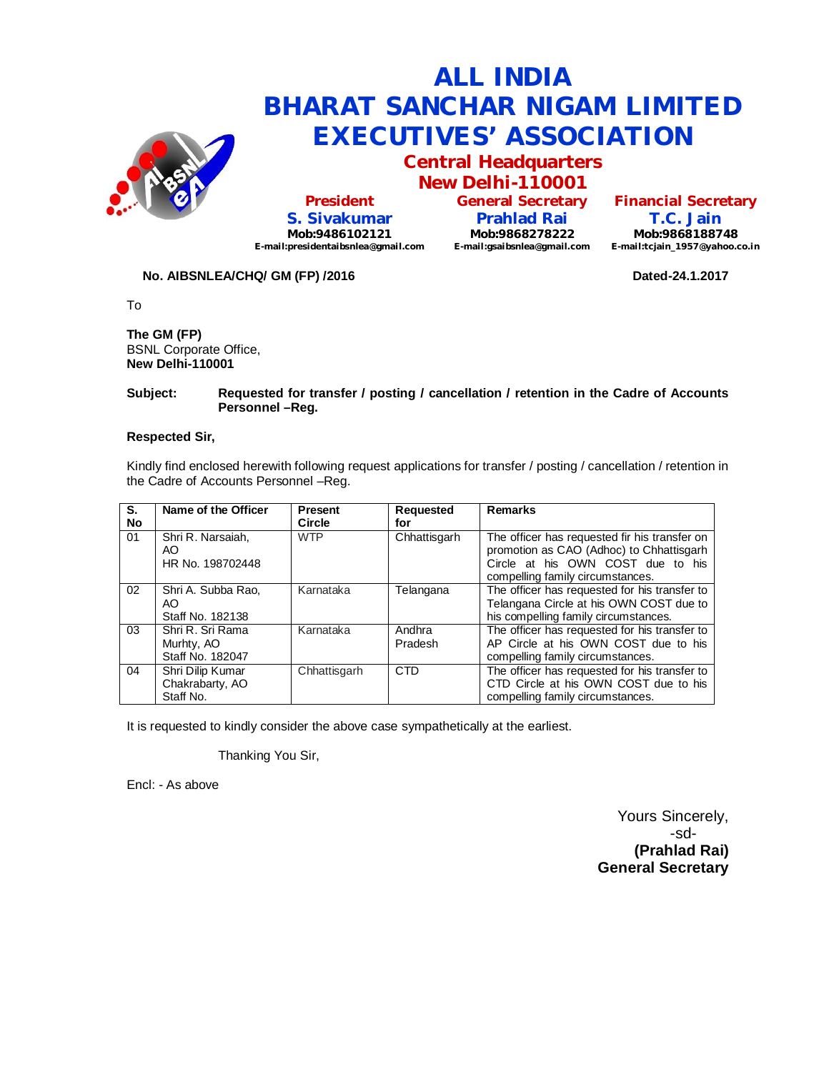

# **ALL INDIA BHARAT SANCHAR NIGAM LIMITED EXECUTIVES' ASSOCIATION Central Headquarters**

**President S. Sivakumar Mob:9486102121 E-mail:presidentaibsnlea@gmail.com**

**New Delhi-110001 General Secretary Prahlad Rai Mob:9868278222 E-mail:gsaibsnlea@gmail.com**

**Financial Secretary T.C. Jain Mob:9868188748 E-mail:tcjain\_1957@yahoo.co.in**

#### **No. AIBSNLEA/CHQ/ GM (FP) /2016 Dated-24.1.2017**

To

**The GM (FP)** BSNL Corporate Office, **New Delhi-110001** 

#### **Subject: Requested for transfer / posting / cancellation / retention in the Cadre of Accounts Personnel –Reg.**

#### **Respected Sir,**

Kindly find enclosed herewith following request applications for transfer / posting / cancellation / retention in the Cadre of Accounts Personnel –Reg.

| S.        | Name of the Officer                                | <b>Present</b> | Requested         | <b>Remarks</b>                                                                                                                                                     |
|-----------|----------------------------------------------------|----------------|-------------------|--------------------------------------------------------------------------------------------------------------------------------------------------------------------|
| <b>No</b> |                                                    | Circle         | for               |                                                                                                                                                                    |
| 01        | Shri R. Narsaiah,<br>AO.<br>HR No. 198702448       | <b>WTP</b>     | Chhattisgarh      | The officer has requested fir his transfer on<br>promotion as CAO (Adhoc) to Chhattisgarh<br>Circle at his OWN COST due to his<br>compelling family circumstances. |
| 02        | Shri A. Subba Rao,<br>AO.<br>Staff No. 182138      | Karnataka      | Telangana         | The officer has requested for his transfer to<br>Telangana Circle at his OWN COST due to<br>his compelling family circumstances.                                   |
| 03        | Shri R. Sri Rama<br>Murhty, AO<br>Staff No. 182047 | Karnataka      | Andhra<br>Pradesh | The officer has requested for his transfer to<br>AP Circle at his OWN COST due to his<br>compelling family circumstances.                                          |
| 04        | Shri Dilip Kumar<br>Chakrabarty, AO<br>Staff No.   | Chhattisgarh   | <b>CTD</b>        | The officer has requested for his transfer to<br>CTD Circle at his OWN COST due to his<br>compelling family circumstances.                                         |

It is requested to kindly consider the above case sympathetically at the earliest.

Thanking You Sir,

Encl: - As above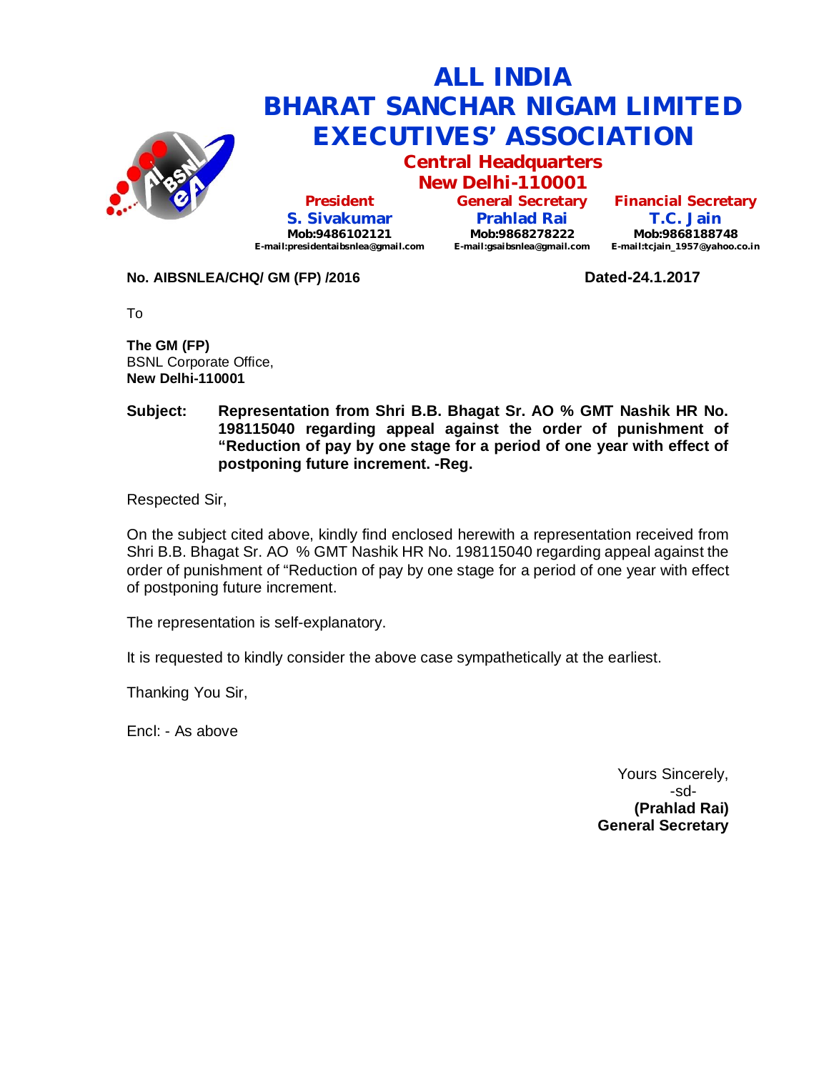

# **ALL INDIA BHARAT SANCHAR NIGAM LIMITED EXECUTIVES' ASSOCIATION**

**Central Headquarters**

**New Delhi-110001 President S. Sivakumar Mob:9486102121 E-mail:presidentaibsnlea@gmail.com**

**General Secretary Prahlad Rai Mob:9868278222 E-mail:gsaibsnlea@gmail.com**

**Financial Secretary T.C. Jain Mob:9868188748**

**E-mail:tcjain\_1957@yahoo.co.in**

### **No. AIBSNLEA/CHQ/ GM (FP) /2016 Dated-24.1.2017**

To

**The GM (FP)** BSNL Corporate Office, **New Delhi-110001** 

### **Subject: Representation from Shri B.B. Bhagat Sr. AO % GMT Nashik HR No. 198115040 regarding appeal against the order of punishment of "Reduction of pay by one stage for a period of one year with effect of postponing future increment. -Reg.**

Respected Sir,

On the subject cited above, kindly find enclosed herewith a representation received from Shri B.B. Bhagat Sr. AO % GMT Nashik HR No. 198115040 regarding appeal against the order of punishment of "Reduction of pay by one stage for a period of one year with effect of postponing future increment.

The representation is self-explanatory.

It is requested to kindly consider the above case sympathetically at the earliest.

Thanking You Sir,

Encl: - As above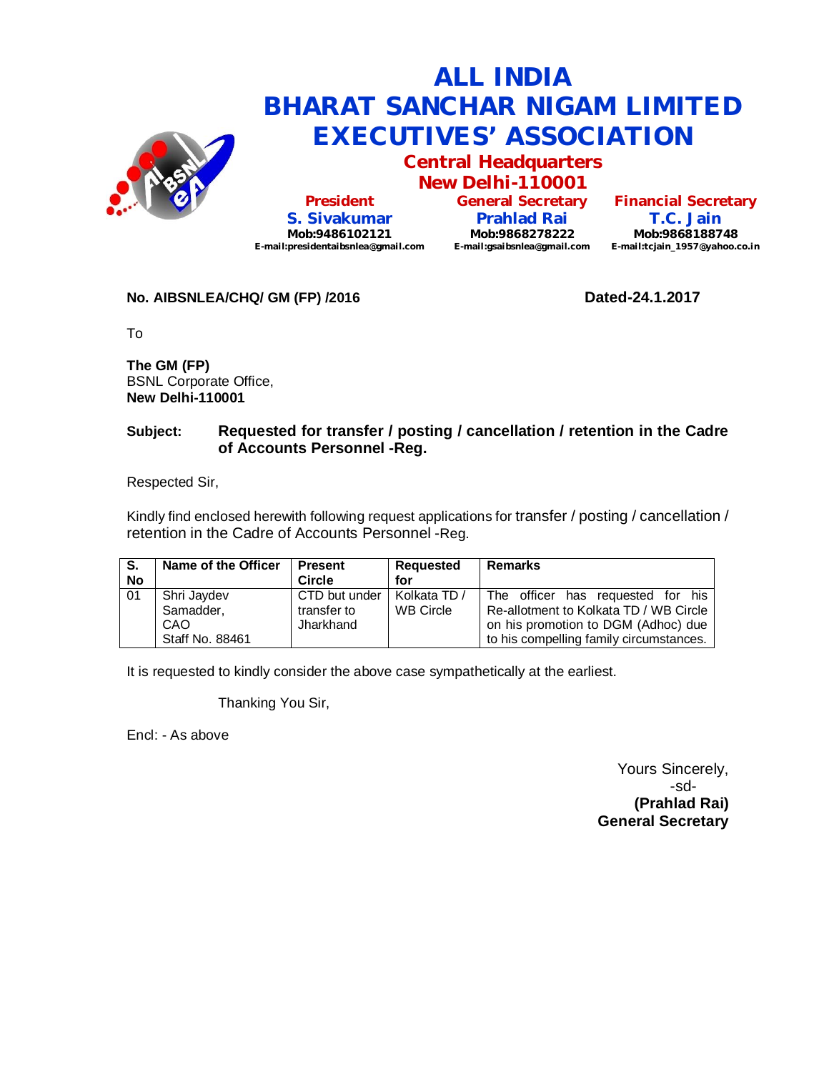

# **ALL INDIA BHARAT SANCHAR NIGAM LIMITED EXECUTIVES' ASSOCIATION**

**Central Headquarters New Delhi-110001**

**President S. Sivakumar Mob:9486102121 E-mail:presidentaibsnlea@gmail.com** **General Secretary Prahlad Rai Mob:9868278222 E-mail:gsaibsnlea@gmail.com E-mail:tcjain\_1957@yahoo.co.in**

**Financial Secretary T.C. Jain Mob:9868188748**

### **No. AIBSNLEA/CHQ/ GM (FP) /2016 Dated-24.1.2017**

To

**The GM (FP)** BSNL Corporate Office, **New Delhi-110001** 

## **Subject: Requested for transfer / posting / cancellation / retention in the Cadre of Accounts Personnel -Reg.**

Respected Sir,

Kindly find enclosed herewith following request applications for transfer / posting / cancellation / retention in the Cadre of Accounts Personnel -Reg.

| S.<br><b>No</b> | Name of the Officer                                | <b>Present</b><br>Circle                  | Requested<br>for                 | <b>Remarks</b>                                                                                                                                                |
|-----------------|----------------------------------------------------|-------------------------------------------|----------------------------------|---------------------------------------------------------------------------------------------------------------------------------------------------------------|
| 01              | Shri Jaydev<br>Samadder.<br>CAO<br>Staff No. 88461 | CTD but under<br>transfer to<br>Jharkhand | Kolkata TD /<br><b>WB Circle</b> | The officer has requested for his<br>Re-allotment to Kolkata TD / WB Circle<br>on his promotion to DGM (Adhoc) due<br>to his compelling family circumstances. |

It is requested to kindly consider the above case sympathetically at the earliest.

Thanking You Sir,

Encl: - As above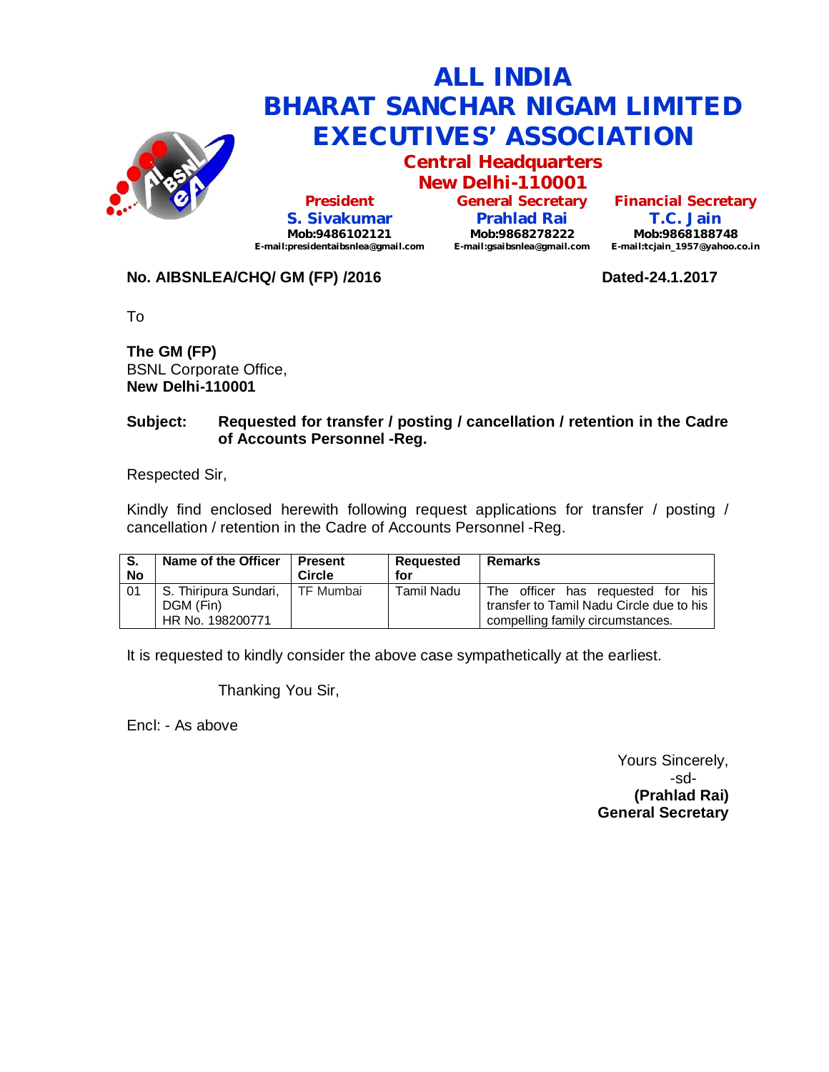

# **ALL INDIA BHARAT SANCHAR NIGAM LIMITED EXECUTIVES' ASSOCIATION Central Headquarters**

**President S. Sivakumar Mob:9486102121 E-mail:presidentaibsnlea@gmail.com**

**New Delhi-110001 General Secretary Prahlad Rai Mob:9868278222 E-mail:gsaibsnlea@gmail.com**

**Financial Secretary T.C. Jain Mob:9868188748 E-mail:tcjain\_1957@yahoo.co.in**

## **No. AIBSNLEA/CHQ/ GM (FP) /2016 CONVIDENTION Dated-24.1.2017**

To

**The GM (FP)** BSNL Corporate Office, **New Delhi-110001** 

### **Subject: Requested for transfer / posting / cancellation / retention in the Cadre of Accounts Personnel -Reg.**

Respected Sir,

Kindly find enclosed herewith following request applications for transfer / posting / cancellation / retention in the Cadre of Accounts Personnel -Reg.

| S.<br><b>No</b> | Name of the Officer   | <b>Present</b><br>Circle | Requested<br>for  | <b>Remarks</b>                           |
|-----------------|-----------------------|--------------------------|-------------------|------------------------------------------|
| 01              | S. Thiripura Sundari, | l TF Mumbai              | <b>Tamil Nadu</b> | The officer has requested for his        |
|                 | DGM (Fin)             |                          |                   | transfer to Tamil Nadu Circle due to his |
|                 | HR No. 198200771      |                          |                   | compelling family circumstances.         |

It is requested to kindly consider the above case sympathetically at the earliest.

Thanking You Sir,

Encl: - As above